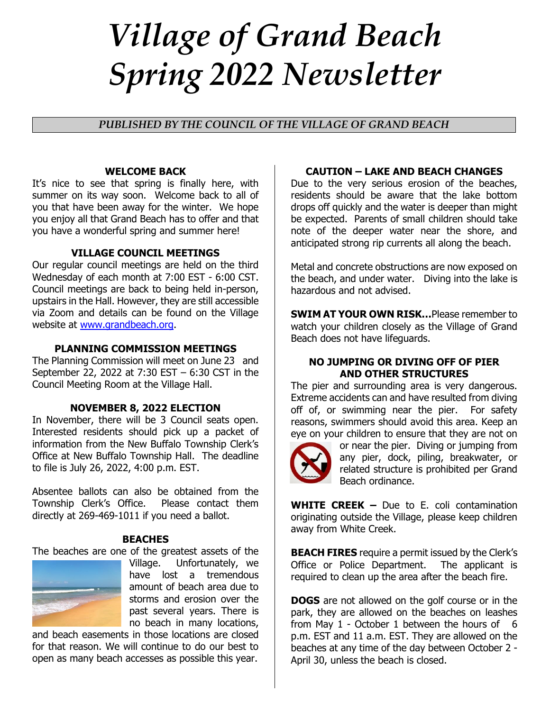# *Village of Grand Beach Spring 2022 Newsletter*

## *PUBLISHED BY THE COUNCIL OF THE VILLAGE OF GRAND BEACH*

#### **WELCOME BACK**

It's nice to see that spring is finally here, with summer on its way soon. Welcome back to all of you that have been away for the winter. We hope you enjoy all that Grand Beach has to offer and that you have a wonderful spring and summer here!

## **VILLAGE COUNCIL MEETINGS**

Our regular council meetings are held on the third Wednesday of each month at 7:00 EST - 6:00 CST. Council meetings are back to being held in-person, upstairs in the Hall. However, they are still accessible via Zoom and details can be found on the Village website at [www.grandbeach.org.](http://www.grandbeach.org/)

## **PLANNING COMMISSION MEETINGS**

The Planning Commission will meet on June 23 and September 22, 2022 at 7:30 EST – 6:30 CST in the Council Meeting Room at the Village Hall.

## **NOVEMBER 8, 2022 ELECTION**

In November, there will be 3 Council seats open. Interested residents should pick up a packet of information from the New Buffalo Township Clerk's Office at New Buffalo Township Hall. The deadline to file is July 26, 2022, 4:00 p.m. EST.

Absentee ballots can also be obtained from the Township Clerk's Office. Please contact them directly at 269-469-1011 if you need a ballot.

#### **BEACHES**

The beaches are one of the greatest assets of the



Village. Unfortunately, we have lost a tremendous amount of beach area due to storms and erosion over the past several years. There is no beach in many locations,

and beach easements in those locations are closed for that reason. We will continue to do our best to open as many beach accesses as possible this year.

#### **CAUTION – LAKE AND BEACH CHANGES**

Due to the very serious erosion of the beaches, residents should be aware that the lake bottom drops off quickly and the water is deeper than might be expected. Parents of small children should take note of the deeper water near the shore, and anticipated strong rip currents all along the beach.

Metal and concrete obstructions are now exposed on the beach, and under water. Diving into the lake is hazardous and not advised.

**SWIM AT YOUR OWN RISK…**Please remember to watch your children closely as the Village of Grand Beach does not have lifeguards.

#### **NO JUMPING OR DIVING OFF OF PIER AND OTHER STRUCTURES**

The pier and surrounding area is very dangerous. Extreme accidents can and have resulted from diving off of, or swimming near the pier. For safety reasons, swimmers should avoid this area. Keep an eye on your children to ensure that they are not on



or near the pier. Diving or jumping from any pier, dock, piling, breakwater, or related structure is prohibited per Grand Beach ordinance.

**WHITE CREEK –** Due to E. coli contamination originating outside the Village, please keep children away from White Creek.

**BEACH FIRES** require a permit issued by the Clerk's Office or Police Department. The applicant is required to clean up the area after the beach fire.

**DOGS** are not allowed on the golf course or in the park, they are allowed on the beaches on leashes from May  $1$  - October 1 between the hours of 6 p.m. EST and 11 a.m. EST. They are allowed on the beaches at any time of the day between October 2 - April 30, unless the beach is closed.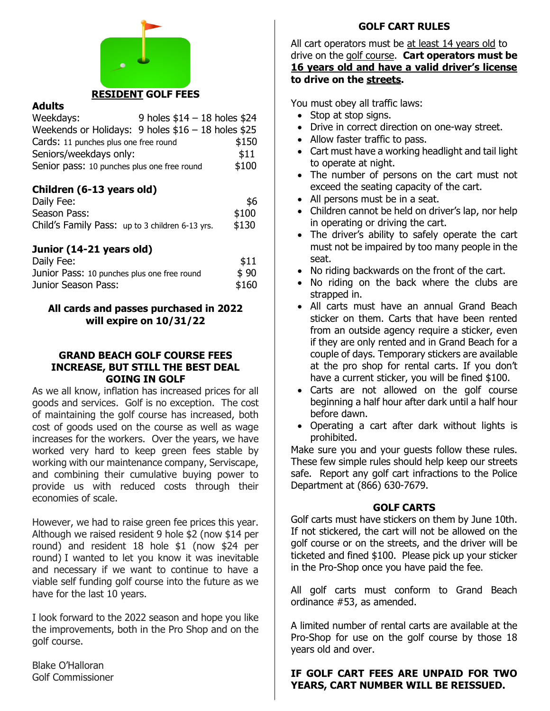

# **RESIDENT GOLF FEES**

# **Adults**

| Weekdays:                                              | 9 holes $$14 - 18$ holes \$24 |       |
|--------------------------------------------------------|-------------------------------|-------|
| Weekends or Holidays: $9$ holes $$16 - 18$ holes $$25$ |                               |       |
| Cards: 11 punches plus one free round                  |                               | \$150 |
| Seniors/weekdays only:                                 |                               | \$11  |
| Senior pass: 10 punches plus one free round            |                               | \$100 |

# **Children (6-13 years old)**

| Daily Fee:   |                                                 | \$6   |
|--------------|-------------------------------------------------|-------|
| Season Pass: |                                                 | \$100 |
|              | Child's Family Pass: up to 3 children 6-13 yrs. | \$130 |

# **Junior (14-21 years old)**

| Daily Fee:                                  | \$11  |
|---------------------------------------------|-------|
| Junior Pass: 10 punches plus one free round | \$90  |
| Junior Season Pass:                         | \$160 |

# **All cards and passes purchased in 2022 will expire on 10/31/22**

## **GRAND BEACH GOLF COURSE FEES INCREASE, BUT STILL THE BEST DEAL GOING IN GOLF**

As we all know, inflation has increased prices for all goods and services. Golf is no exception. The cost of maintaining the golf course has increased, both cost of goods used on the course as well as wage increases for the workers. Over the years, we have worked very hard to keep green fees stable by working with our maintenance company, Serviscape, and combining their cumulative buying power to provide us with reduced costs through their economies of scale.

However, we had to raise green fee prices this year. Although we raised resident 9 hole \$2 (now \$14 per round) and resident 18 hole \$1 (now \$24 per round) I wanted to let you know it was inevitable and necessary if we want to continue to have a viable self funding golf course into the future as we have for the last 10 years.

I look forward to the 2022 season and hope you like the improvements, both in the Pro Shop and on the golf course.

Blake O'Halloran Golf Commissioner

# **GOLF CART RULES**

All cart operators must be at least 14 years old to drive on the golf course. **Cart operators must be 16 years old and have a valid driver's license to drive on the streets.**

You must obey all traffic laws:

- Stop at stop signs.
- Drive in correct direction on one-way street.
- Allow faster traffic to pass.
- Cart must have a working headlight and tail light to operate at night.
- The number of persons on the cart must not exceed the seating capacity of the cart.
- All persons must be in a seat.
- Children cannot be held on driver's lap, nor help in operating or driving the cart.
- The driver's ability to safely operate the cart must not be impaired by too many people in the seat.
- No riding backwards on the front of the cart.
- No riding on the back where the clubs are strapped in.
- All carts must have an annual Grand Beach sticker on them. Carts that have been rented from an outside agency require a sticker, even if they are only rented and in Grand Beach for a couple of days. Temporary stickers are available at the pro shop for rental carts. If you don't have a current sticker, you will be fined \$100.
- Carts are not allowed on the golf course beginning a half hour after dark until a half hour before dawn.
- Operating a cart after dark without lights is prohibited.

Make sure you and your guests follow these rules. These few simple rules should help keep our streets safe. Report any golf cart infractions to the Police Department at (866) 630-7679.

# **GOLF CARTS**

Golf carts must have stickers on them by June 10th. If not stickered, the cart will not be allowed on the golf course or on the streets, and the driver will be ticketed and fined \$100. Please pick up your sticker in the Pro-Shop once you have paid the fee.

All golf carts must conform to Grand Beach ordinance #53, as amended.

A limited number of rental carts are available at the Pro-Shop for use on the golf course by those 18 years old and over.

# **IF GOLF CART FEES ARE UNPAID FOR TWO YEARS, CART NUMBER WILL BE REISSUED.**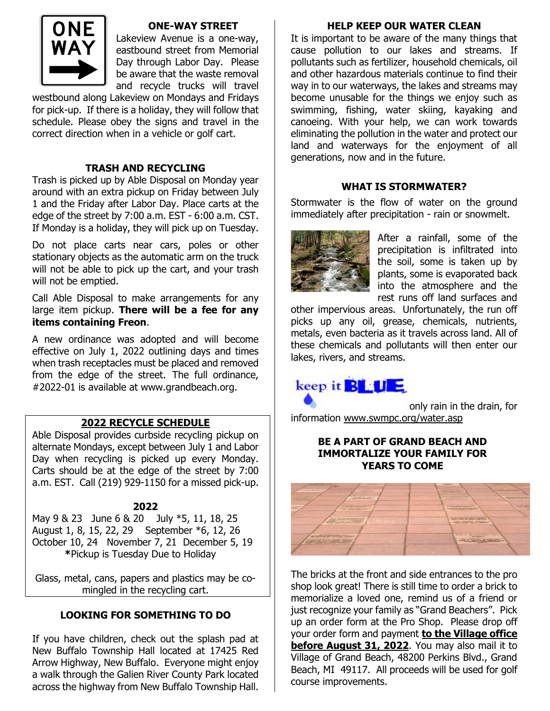

## **ONE-WAY STREET**

Lakeview Avenue is a one-way, eastbound street from Memorial Day through Labor Day. Please be aware that the waste removal and recycle trucks will travel

westbound along Lakeview on Mondays and Fridays for pick-up. If there is a holiday, they will follow that schedule. Please obey the signs and travel in the correct direction when in a vehicle or golf cart.

## **TRASH AND RECYCLING**

Trash is picked up by Able Disposal on Monday year around with an extra pickup on Friday between July 1 and the Friday after Labor Day. Place carts at the edge of the street by 7:00 a.m. EST - 6:00 a.m. CST. If Monday is a holiday, they will pick up on Tuesday.

Do not place carts near cars, poles or other stationary objects as the automatic arm on the truck will not be able to pick up the cart, and your trash will not be emptied.

Call Able Disposal to make arrangements for any large item pickup. **There will be a fee for any items containing Freon**.

A new ordinance was adopted and will become effective on July 1, 2022 outlining days and times when trash receptacles must be placed and removed from the edge of the street. The full ordinance, #2022-01 is available at www.grandbeach.org.

# **2022 RECYCLE SCHEDULE**

Able Disposal provides curbside recycling pickup on alternate Mondays, except between July 1 and Labor Day when recycling is picked up every Monday. Carts should be at the edge of the street by 7:00 a.m. EST. Call (219) 929-1150 for a missed pick-up.

# **2022**

May 9 & 23 June 6 & 20 July \*5, 11, 18, 25 August 1, 8, 15, 22, 29 September \*6, 12, 26 October 10, 24 November 7, 21 December 5, 19 **\***Pickup is Tuesday Due to Holiday

Glass, metal, cans, papers and plastics may be comingled in the recycling cart.

# **LOOKING FOR SOMETHING TO DO**

If you have children, check out the splash pad at New Buffalo Township Hall located at 17425 Red Arrow Highway, New Buffalo. Everyone might enjoy a walk through the Galien River County Park located across the highway from New Buffalo Township Hall.

## **HELP KEEP OUR WATER CLEAN**

It is important to be aware of the many things that cause pollution to our lakes and streams. If pollutants such as fertilizer, household chemicals, oil and other hazardous materials continue to find their way in to our waterways, the lakes and streams may become unusable for the things we enjoy such as swimming, fishing, water skiing, kayaking and canoeing. With your help, we can work towards eliminating the pollution in the water and protect our land and waterways for the enjoyment of all generations, now and in the future.

#### **WHAT IS STORMWATER?**

Stormwater is the flow of water on the ground immediately after precipitation - rain or snowmelt.



After a rainfall, some of the precipitation is infiltrated into the soil, some is taken up by plants, some is evaporated back into the atmosphere and the rest runs off land surfaces and

other impervious areas. Unfortunately, the run off picks up any oil, grease, chemicals, nutrients, metals, even bacteria as it travels across land. All of these chemicals and pollutants will then enter our lakes, rivers, and streams.

keep it **BLUE** 

only rain in the drain, for information [www.swmpc.org/water.asp](http://www.swmpc.org/water.asp)

# **BE A PART OF GRAND BEACH AND IMMORTALIZE YOUR FAMILY FOR YEARS TO COME**



The bricks at the front and side entrances to the pro shop look great! There is still time to order a brick to memorialize a loved one, remind us of a friend or just recognize your family as "Grand Beachers". Pick up an order form at the Pro Shop. Please drop off your order form and payment **to the Village office before August 31, 2022**. You may also mail it to Village of Grand Beach, 48200 Perkins Blvd., Grand Beach, MI 49117. All proceeds will be used for golf course improvements.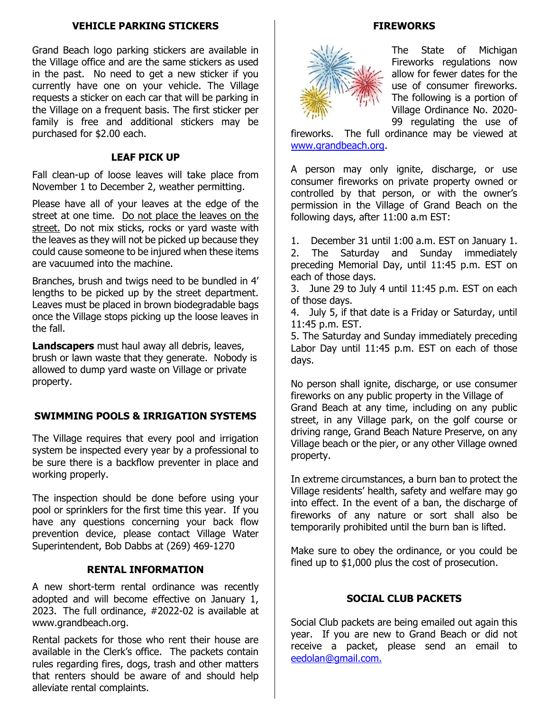## **VEHICLE PARKING STICKERS**

Grand Beach logo parking stickers are available in the Village office and are the same stickers as used in the past. No need to get a new sticker if you currently have one on your vehicle. The Village requests a sticker on each car that will be parking in the Village on a frequent basis. The first sticker per family is free and additional stickers may be purchased for \$2.00 each.

# **LEAF PICK UP**

Fall clean-up of loose leaves will take place from November 1 to December 2, weather permitting.

Please have all of your leaves at the edge of the street at one time. Do not place the leaves on the street. Do not mix sticks, rocks or yard waste with the leaves as they will not be picked up because they could cause someone to be injured when these items are vacuumed into the machine.

Branches, brush and twigs need to be bundled in 4' lengths to be picked up by the street department. Leaves must be placed in brown biodegradable bags once the Village stops picking up the loose leaves in the fall.

**Landscapers** must haul away all debris, leaves, brush or lawn waste that they generate. Nobody is allowed to dump yard waste on Village or private property.

# **SWIMMING POOLS & IRRIGATION SYSTEMS**

The Village requires that every pool and irrigation system be inspected every year by a professional to be sure there is a backflow preventer in place and working properly.

The inspection should be done before using your pool or sprinklers for the first time this year. If you have any questions concerning your back flow prevention device, please contact Village Water Superintendent, Bob Dabbs at (269) 469-1270

# **RENTAL INFORMATION**

A new short-term rental ordinance was recently adopted and will become effective on January 1, 2023. The full ordinance, #2022-02 is available at www.grandbeach.org.

Rental packets for those who rent their house are available in the Clerk's office. The packets contain rules regarding fires, dogs, trash and other matters that renters should be aware of and should help alleviate rental complaints.

# **FIREWORKS**



The State of Michigan Fireworks regulations now allow for fewer dates for the use of consumer fireworks. The following is a portion of Village Ordinance No. 2020- 99 regulating the use of

fireworks. The full ordinance may be viewed at [www.grandbeach.org.](http://www.grandbeach.org/)

A person may only ignite, discharge, or use consumer fireworks on private property owned or controlled by that person, or with the owner's permission in the Village of Grand Beach on the following days, after 11:00 a.m EST:

1. December 31 until 1:00 a.m. EST on January 1. 2. The Saturday and Sunday immediately preceding Memorial Day, until 11:45 p.m. EST on each of those days.

3. June 29 to July 4 until 11:45 p.m. EST on each of those days.

4. July 5, if that date is a Friday or Saturday, until 11:45 p.m. EST.

5. The Saturday and Sunday immediately preceding Labor Day until 11:45 p.m. EST on each of those days.

No person shall ignite, discharge, or use consumer fireworks on any public property in the Village of Grand Beach at any time, including on any public street, in any Village park, on the golf course or driving range, Grand Beach Nature Preserve, on any Village beach or the pier, or any other Village owned property.

In extreme circumstances, a burn ban to protect the Village residents' health, safety and welfare may go into effect. In the event of a ban, the discharge of fireworks of any nature or sort shall also be temporarily prohibited until the burn ban is lifted.

Make sure to obey the ordinance, or you could be fined up to \$1,000 plus the cost of prosecution.

# **SOCIAL CLUB PACKETS**

Social Club packets are being emailed out again this year. If you are new to Grand Beach or did not receive a packet, please send an email to [eedolan@gmail.com.](mailto:eedolan@gmail.com)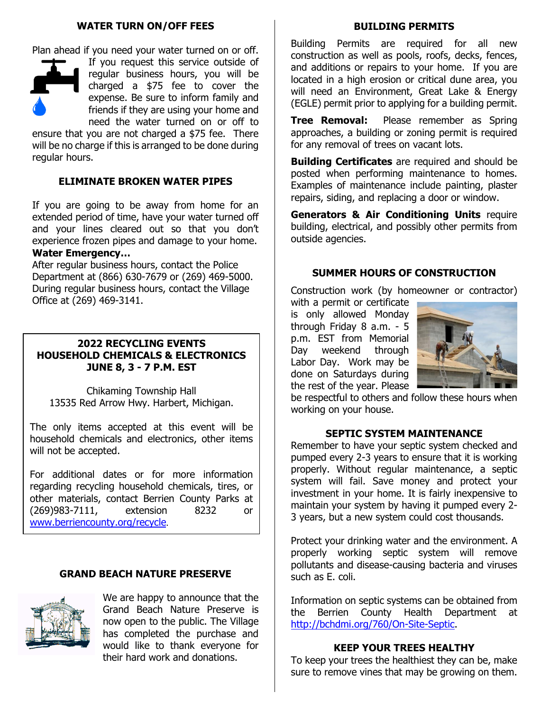## **WATER TURN ON/OFF FEES**

Plan ahead if you need your water turned on or off.



If you request this service outside of regular business hours, you will be charged a \$75 fee to cover the expense. Be sure to inform family and friends if they are using your home and need the water turned on or off to

ensure that you are not charged a \$75 fee. There will be no charge if this is arranged to be done during regular hours.

## **ELIMINATE BROKEN WATER PIPES**

If you are going to be away from home for an extended period of time, have your water turned off and your lines cleared out so that you don't experience frozen pipes and damage to your home. **Water Emergency…**

After regular business hours, contact the Police Department at (866) 630-7679 or (269) 469-5000. During regular business hours, contact the Village Office at (269) 469-3141.

#### **2022 RECYCLING EVENTS HOUSEHOLD CHEMICALS & ELECTRONICS JUNE 8, 3 - 7 P.M. EST**

Chikaming Township Hall 13535 Red Arrow Hwy. Harbert, Michigan.

The only items accepted at this event will be household chemicals and electronics, other items will not be accepted.

For additional dates or for more information regarding recycling household chemicals, tires, or other materials, contact Berrien County Parks at (269)983-7111, extension 8232 or [www.berriencounty.org/recycle](http://www.berriencounty.org/recycle).

## **GRAND BEACH NATURE PRESERVE**



We are happy to announce that the Grand Beach Nature Preserve is now open to the public. The Village has completed the purchase and would like to thank everyone for their hard work and donations.

#### **BUILDING PERMITS**

Building Permits are required for all new construction as well as pools, roofs, decks, fences, and additions or repairs to your home. If you are located in a high erosion or critical dune area, you will need an Environment, Great Lake & Energy (EGLE) permit prior to applying for a building permit.

**Tree Removal:** Please remember as Spring approaches, a building or zoning permit is required for any removal of trees on vacant lots.

**Building Certificates** are required and should be posted when performing maintenance to homes. Examples of maintenance include painting, plaster repairs, siding, and replacing a door or window.

**Generators & Air Conditioning Units** require building, electrical, and possibly other permits from outside agencies.

#### **SUMMER HOURS OF CONSTRUCTION**

Construction work (by homeowner or contractor)

with a permit or certificate is only allowed Monday through Friday 8 a.m. - 5 p.m. EST from Memorial Day weekend through Labor Day. Work may be done on Saturdays during the rest of the year. Please



be respectful to others and follow these hours when working on your house.

## **SEPTIC SYSTEM MAINTENANCE**

Remember to have your septic system checked and pumped every 2-3 years to ensure that it is working properly. Without regular maintenance, a septic system will fail. Save money and protect your investment in your home. It is fairly inexpensive to maintain your system by having it pumped every 2- 3 years, but a new system could cost thousands.

Protect your drinking water and the environment. A properly working septic system will remove pollutants and disease-causing bacteria and viruses such as E. coli.

Information on septic systems can be obtained from the Berrien County Health Department at [http://bchdmi.org/760/On-Site-Septic.](http://bchdmi.org/760/On-Site-Septic)

## **KEEP YOUR TREES HEALTHY**

To keep your trees the healthiest they can be, make sure to remove vines that may be growing on them.